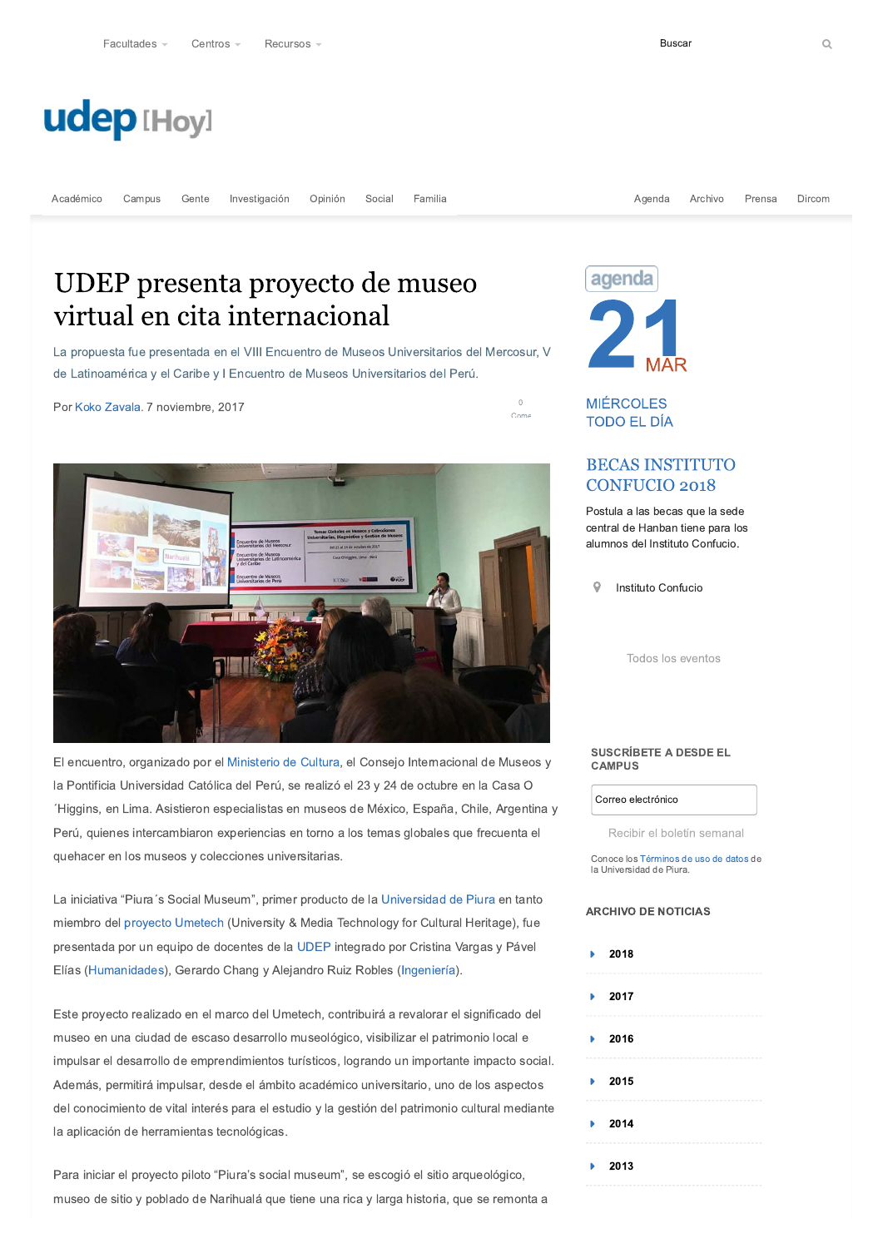# **udep [Hoy]**

Gente Investigación Opinión Social Familia

# UDEP presenta proyecto de museo virtual en cita internacional

La propuesta fue presentada en el VIII Encuentro de Museos Universitarios del Mercosur, V de Latinoamérica y el Caribe y I Encuentro de Museos Universitarios del Perú.

Por Koko Zavala. 7 noviembre, 2017



El encuentro, organizado por el Ministerio de Cultura, el Consejo Internacional de Museos y la Pontificia Universidad Católica del Perú, se realizó el 23 y 24 de octubre en la Casa O Higgins, en Lima. Asistieron especialistas en museos de México, España, Chile, Argentina y Perú, quienes intercambiaron experiencias en torno a los temas globales que frecuenta el quehacer en los museos y colecciones universitarias.

La iniciativa "Piura's Social Museum", primer producto de la Universidad de Piura en tanto miembro del proyecto Umetech (University & Media Technology for Cultural Heritage), fue presentada por un equipo de docentes de la UDEP integrado por Cristina Vargas y Pável



Agenda

Archivo

Prensa

**Buscar** 

**MIÉRCOLES TODO EL DÍA** 

 $\bigcirc$ 

Come

## **BECAS INSTITUTO CONFUCIO 2018**

Postula a las becas que la sede central de Hanban tiene para los alumnos del Instituto Confucio.

Instituto Confucio 9

Todos los eventos

#### **SUSCRÍBETE A DESDE EL CAMPUS**

Correo electrónico

Recibir el boletín semanal

Conoce los Términos de uso de datos de la Universidad de Piura

### **ARCHIVO DE NOTICIAS**

Dircom

Elías (Humanidades), Gerardo Chang y Alejandro Ruiz Robles (Ingeniería).

Este proyecto realizado en el marco del Umetech, contribuirá a revalorar el significado del

museo en una ciudad de escaso desarrollo museológico, visibilizar el patrimonio local e impulsar el desarrollo de emprendimientos turísticos, logrando un importante impacto social. Además, permitirá impulsar, desde el ámbito académico universitario, uno de los aspectos del conocimiento de vital interés para el estudio y la gestión del patrimonio cultural mediante la aplicación de herramientas tecnológicas.

Para iniciar el proyecto piloto "Piura's social museum", se escogió el sitio arqueológico, museo de sitio y poblado de Narihualá que tiene una rica y larga historia, que se remonta a

| $\blacktriangleright$ 2018 |  |
|----------------------------|--|
| $\blacktriangleright$ 2017 |  |
| $\blacktriangleright$ 2016 |  |
| $\blacktriangleright$ 2015 |  |
| $\blacktriangleright$ 2014 |  |
| $\blacktriangleright$ 2013 |  |